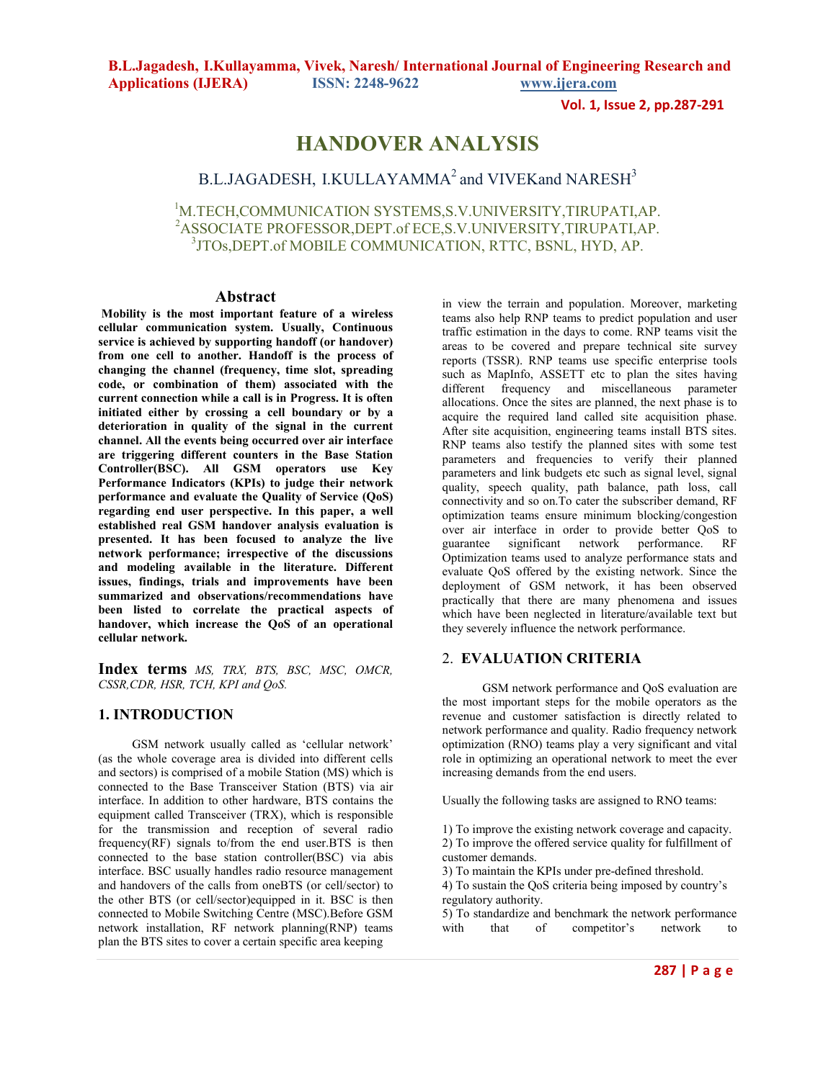**Vol. 1, Issue 2, pp.287-291**

# **HANDOVER ANALYSIS**

# B.L.JAGADESH, I.KULLAYAMMA<sup>2</sup> and VIVEKand NARESH<sup>3</sup>

<sup>1</sup>M.TECH,COMMUNICATION SYSTEMS,S.V.UNIVERSITY,TIRUPATI,AP. <sup>2</sup>ASSOCIATE PROFESSOR,DEPT.of ECE,S.V.UNIVERSITY,TIRUPATI,AP. 3 JTOs,DEPT.of MOBILE COMMUNICATION, RTTC, BSNL, HYD, AP.

### **Abstract**

 **Mobility is the most important feature of a wireless cellular communication system. Usually, Continuous service is achieved by supporting handoff (or handover) from one cell to another. Handoff is the process of changing the channel (frequency, time slot, spreading code, or combination of them) associated with the current connection while a call is in Progress. It is often initiated either by crossing a cell boundary or by a deterioration in quality of the signal in the current channel. All the events being occurred over air interface are triggering different counters in the Base Station Controller(BSC). All GSM operators use Key Performance Indicators (KPIs) to judge their network performance and evaluate the Quality of Service (QoS) regarding end user perspective. In this paper, a well established real GSM handover analysis evaluation is presented. It has been focused to analyze the live network performance; irrespective of the discussions and modeling available in the literature. Different issues, findings, trials and improvements have been summarized and observations/recommendations have been listed to correlate the practical aspects of handover, which increase the QoS of an operational cellular network.** 

**Index terms** *MS, TRX, BTS, BSC, MSC, OMCR, CSSR,CDR, HSR, TCH, KPI and QoS.*

# **1. INTRODUCTION**

 GSM network usually called as 'cellular network' (as the whole coverage area is divided into different cells and sectors) is comprised of a mobile Station (MS) which is connected to the Base Transceiver Station (BTS) via air interface. In addition to other hardware, BTS contains the equipment called Transceiver (TRX), which is responsible for the transmission and reception of several radio frequency(RF) signals to/from the end user.BTS is then connected to the base station controller(BSC) via abis interface. BSC usually handles radio resource management and handovers of the calls from oneBTS (or cell/sector) to the other BTS (or cell/sector)equipped in it. BSC is then connected to Mobile Switching Centre (MSC).Before GSM network installation, RF network planning(RNP) teams plan the BTS sites to cover a certain specific area keeping

in view the terrain and population. Moreover, marketing teams also help RNP teams to predict population and user traffic estimation in the days to come. RNP teams visit the areas to be covered and prepare technical site survey reports (TSSR). RNP teams use specific enterprise tools such as MapInfo, ASSETT etc to plan the sites having different frequency and miscellaneous parameter allocations. Once the sites are planned, the next phase is to acquire the required land called site acquisition phase. After site acquisition, engineering teams install BTS sites. RNP teams also testify the planned sites with some test parameters and frequencies to verify their planned parameters and link budgets etc such as signal level, signal quality, speech quality, path balance, path loss, call connectivity and so on.To cater the subscriber demand, RF optimization teams ensure minimum blocking/congestion over air interface in order to provide better QoS to guarantee significant network performance. RF Optimization teams used to analyze performance stats and evaluate QoS offered by the existing network. Since the deployment of GSM network, it has been observed practically that there are many phenomena and issues which have been neglected in literature/available text but they severely influence the network performance.

### 2. **EVALUATION CRITERIA**

 GSM network performance and QoS evaluation are the most important steps for the mobile operators as the revenue and customer satisfaction is directly related to network performance and quality. Radio frequency network optimization (RNO) teams play a very significant and vital role in optimizing an operational network to meet the ever increasing demands from the end users.

Usually the following tasks are assigned to RNO teams:

1) To improve the existing network coverage and capacity. 2) To improve the offered service quality for fulfillment of customer demands.

3) To maintain the KPIs under pre-defined threshold.

4) To sustain the QoS criteria being imposed by country's regulatory authority.

5) To standardize and benchmark the network performance<br>with that of competitor's network to with that of competitor's network to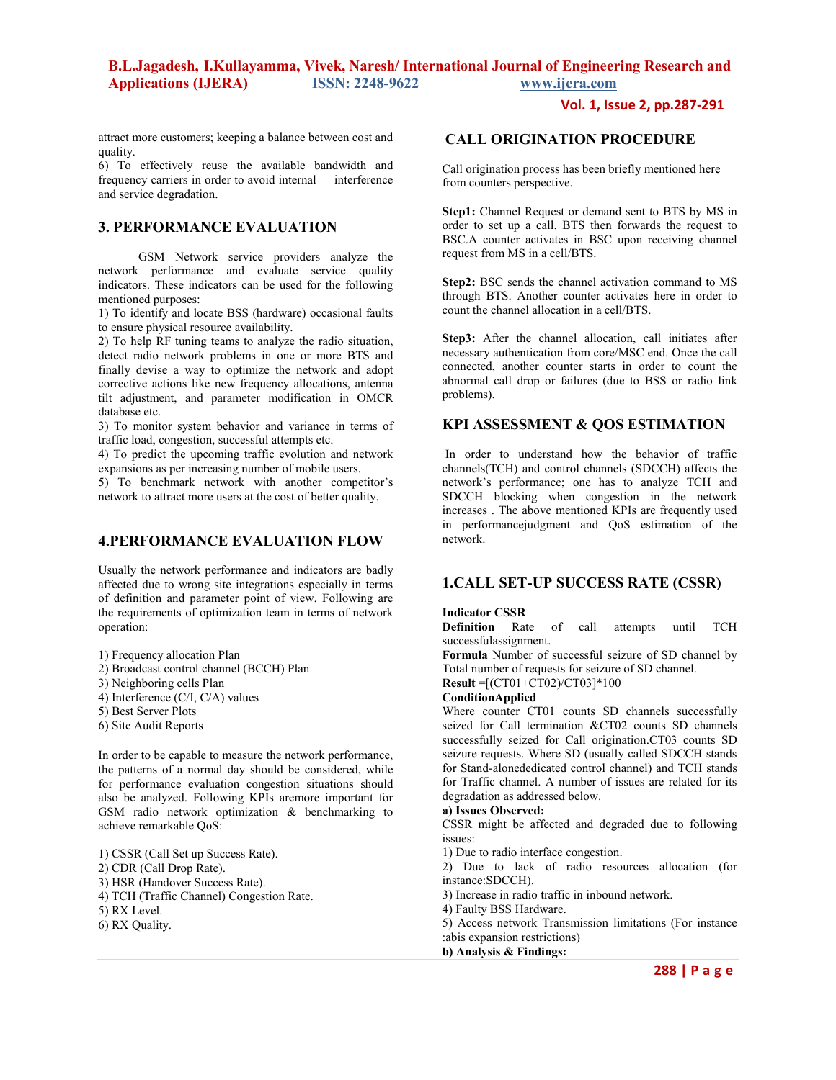### **Vol. 1, Issue 2, pp.287-291**

attract more customers; keeping a balance between cost and quality.

6) To effectively reuse the available bandwidth and frequency carriers in order to avoid internal interference and service degradation.

### **3. PERFORMANCE EVALUATION**

 GSM Network service providers analyze the network performance and evaluate service quality indicators. These indicators can be used for the following mentioned purposes:

1) To identify and locate BSS (hardware) occasional faults to ensure physical resource availability.

2) To help RF tuning teams to analyze the radio situation, detect radio network problems in one or more BTS and finally devise a way to optimize the network and adopt corrective actions like new frequency allocations, antenna tilt adjustment, and parameter modification in OMCR database etc.

3) To monitor system behavior and variance in terms of traffic load, congestion, successful attempts etc.

4) To predict the upcoming traffic evolution and network expansions as per increasing number of mobile users.

5) To benchmark network with another competitor's network to attract more users at the cost of better quality.

# **4.PERFORMANCE EVALUATION FLOW**

Usually the network performance and indicators are badly affected due to wrong site integrations especially in terms of definition and parameter point of view. Following are the requirements of optimization team in terms of network operation:

1) Frequency allocation Plan

- 2) Broadcast control channel (BCCH) Plan
- 3) Neighboring cells Plan
- 4) Interference (C/I, C/A) values
- 5) Best Server Plots
- 6) Site Audit Reports

In order to be capable to measure the network performance, the patterns of a normal day should be considered, while for performance evaluation congestion situations should also be analyzed. Following KPIs aremore important for GSM radio network optimization & benchmarking to achieve remarkable QoS:

1) CSSR (Call Set up Success Rate). 2) CDR (Call Drop Rate). 3) HSR (Handover Success Rate). 4) TCH (Traffic Channel) Congestion Rate. 5) RX Level. 6) RX Quality.

# **CALL ORIGINATION PROCEDURE**

Call origination process has been briefly mentioned here from counters perspective.

Step1: Channel Request or demand sent to BTS by MS in order to set up a call. BTS then forwards the request to BSC.A counter activates in BSC upon receiving channel request from MS in a cell/BTS.

**Step2:** BSC sends the channel activation command to MS through BTS. Another counter activates here in order to count the channel allocation in a cell/BTS.

**Step3:** After the channel allocation, call initiates after necessary authentication from core/MSC end. Once the call connected, another counter starts in order to count the abnormal call drop or failures (due to BSS or radio link problems).

# **KPI ASSESSMENT & QOS ESTIMATION**

 In order to understand how the behavior of traffic channels(TCH) and control channels (SDCCH) affects the network's performance; one has to analyze TCH and SDCCH blocking when congestion in the network increases . The above mentioned KPIs are frequently used in performancejudgment and QoS estimation of the network.

# **1.CALL SET-UP SUCCESS RATE (CSSR)**

#### **Indicator CSSR**

**Definition** Rate of call attempts until TCH successfulassignment.

**Formula** Number of successful seizure of SD channel by Total number of requests for seizure of SD channel.

**Result** =[(CT01+CT02)/CT03]\*100

### **ConditionApplied**

Where counter CT01 counts SD channels successfully seized for Call termination &CT02 counts SD channels successfully seized for Call origination.CT03 counts SD seizure requests. Where SD (usually called SDCCH stands for Stand-alonededicated control channel) and TCH stands for Traffic channel. A number of issues are related for its degradation as addressed below.

#### **a) Issues Observed:**

CSSR might be affected and degraded due to following issues:

1) Due to radio interface congestion.

2) Due to lack of radio resources allocation (for instance:SDCCH).

3) Increase in radio traffic in inbound network.

- 4) Faulty BSS Hardware.
- 5) Access network Transmission limitations (For instance :abis expansion restrictions)

**b) Analysis & Findings:**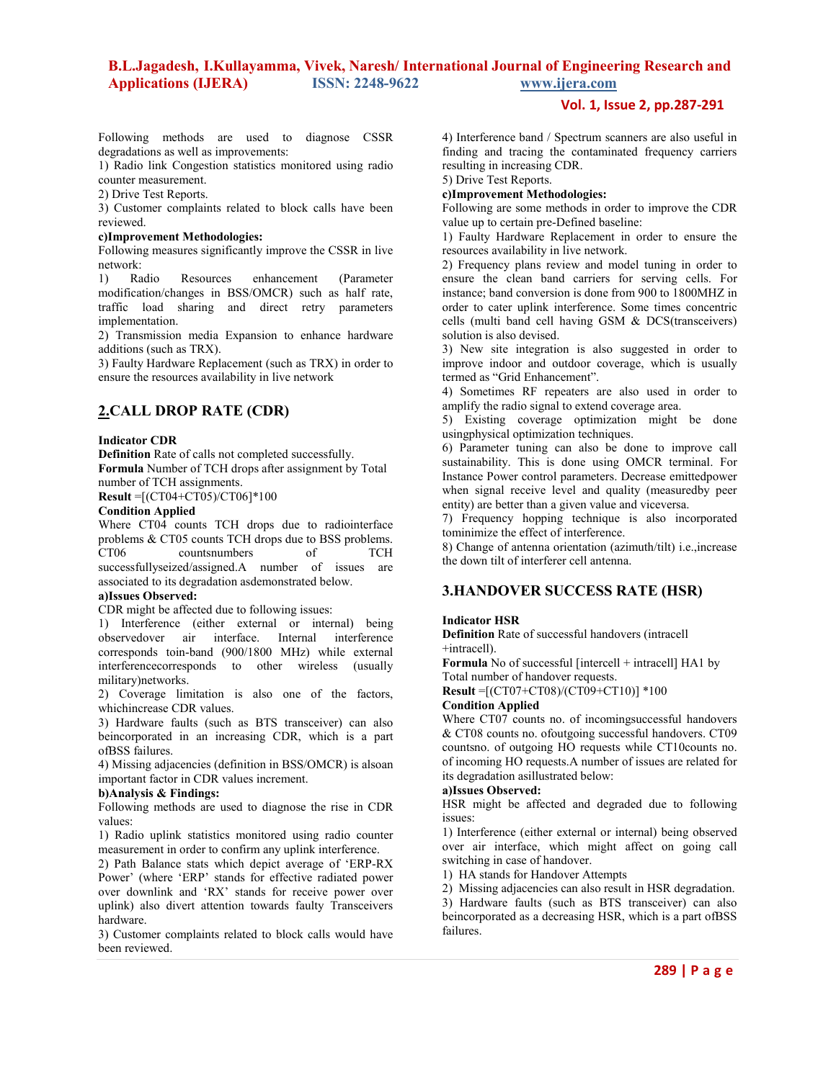### **Vol. 1, Issue 2, pp.287-291**

Following methods are used to diagnose CSSR degradations as well as improvements:

1) Radio link Congestion statistics monitored using radio counter measurement.

2) Drive Test Reports.

3) Customer complaints related to block calls have been reviewed.

#### **c)Improvement Methodologies:**

Following measures significantly improve the CSSR in live network:

1) Radio Resources enhancement (Parameter modification/changes in BSS/OMCR) such as half rate, traffic load sharing and direct retry parameters implementation.

2) Transmission media Expansion to enhance hardware additions (such as TRX).

3) Faulty Hardware Replacement (such as TRX) in order to ensure the resources availability in live network

# **2.CALL DROP RATE (CDR)**

#### **Indicator CDR**

**Definition** Rate of calls not completed successfully. **Formula** Number of TCH drops after assignment by Total number of TCH assignments.

**Result** =[(CT04+CT05)/CT06]\*100

#### **Condition Applied**

Where CT04 counts TCH drops due to radiointerface problems & CT05 counts TCH drops due to BSS problems. CT06 countsnumbers of TCH successfullyseized/assigned.A number of issues are associated to its degradation asdemonstrated below.

#### **a)Issues Observed:**

CDR might be affected due to following issues:

1) Interference (either external or internal) being observedover air interface. Internal interference corresponds toin-band (900/1800 MHz) while external interferencecorresponds to other wireless (usually military)networks.

2) Coverage limitation is also one of the factors, whichincrease CDR values.

3) Hardware faults (such as BTS transceiver) can also beincorporated in an increasing CDR, which is a part ofBSS failures.

4) Missing adjacencies (definition in BSS/OMCR) is alsoan important factor in CDR values increment.

### **b)Analysis & Findings:**

Following methods are used to diagnose the rise in CDR values:

1) Radio uplink statistics monitored using radio counter measurement in order to confirm any uplink interference.

2) Path Balance stats which depict average of 'ERP-RX Power' (where 'ERP' stands for effective radiated power over downlink and 'RX' stands for receive power over uplink) also divert attention towards faulty Transceivers hardware.

3) Customer complaints related to block calls would have been reviewed.

4) Interference band / Spectrum scanners are also useful in finding and tracing the contaminated frequency carriers resulting in increasing CDR.

5) Drive Test Reports.

### **c)Improvement Methodologies:**

Following are some methods in order to improve the CDR value up to certain pre-Defined baseline:

1) Faulty Hardware Replacement in order to ensure the resources availability in live network.

2) Frequency plans review and model tuning in order to ensure the clean band carriers for serving cells. For instance; band conversion is done from 900 to 1800MHZ in order to cater uplink interference. Some times concentric cells (multi band cell having GSM & DCS(transceivers) solution is also devised.

3) New site integration is also suggested in order to improve indoor and outdoor coverage, which is usually termed as "Grid Enhancement".

4) Sometimes RF repeaters are also used in order to amplify the radio signal to extend coverage area.

5) Existing coverage optimization might be done usingphysical optimization techniques.

6) Parameter tuning can also be done to improve call sustainability. This is done using OMCR terminal. For Instance Power control parameters. Decrease emittedpower when signal receive level and quality (measuredby peer entity) are better than a given value and viceversa.

7) Frequency hopping technique is also incorporated tominimize the effect of interference.

8) Change of antenna orientation (azimuth/tilt) i.e.,increase the down tilt of interferer cell antenna.

### **3.HANDOVER SUCCESS RATE (HSR)**

#### **Indicator HSR**

**Definition** Rate of successful handovers (intracell +intracell).

**Formula** No of successful [intercell + intracell] HA1 by Total number of handover requests.

**Result** =[(CT07+CT08)/(CT09+CT10)] \*100

### **Condition Applied**

Where CT07 counts no. of incomingsuccessful handovers & CT08 counts no. ofoutgoing successful handovers. CT09 countsno. of outgoing HO requests while CT10counts no. of incoming HO requests.A number of issues are related for its degradation asillustrated below:

#### **a)Issues Observed:**

HSR might be affected and degraded due to following issues:

1) Interference (either external or internal) being observed over air interface, which might affect on going call switching in case of handover.

1) HA stands for Handover Attempts

2) Missing adjacencies can also result in HSR degradation.

3) Hardware faults (such as BTS transceiver) can also beincorporated as a decreasing HSR, which is a part ofBSS failures.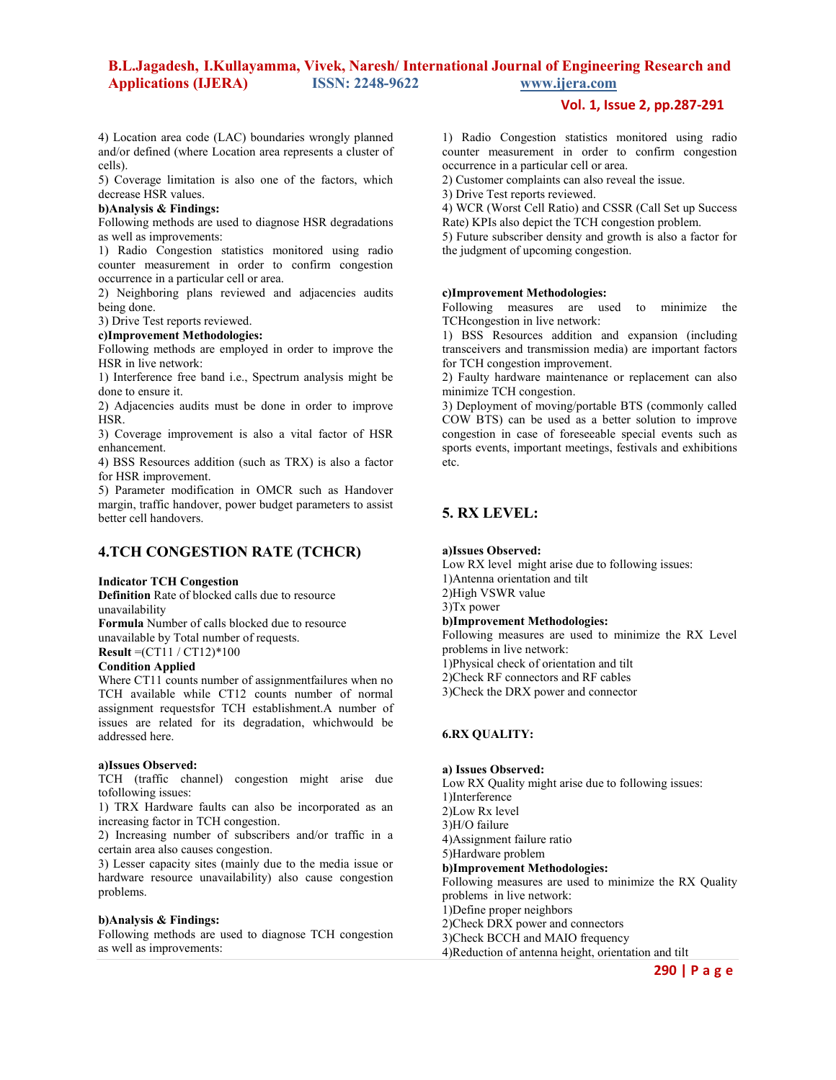**Vol. 1, Issue 2, pp.287-291**

4) Location area code (LAC) boundaries wrongly planned and/or defined (where Location area represents a cluster of cells).

5) Coverage limitation is also one of the factors, which decrease HSR values.

### **b)Analysis & Findings:**

Following methods are used to diagnose HSR degradations as well as improvements:

1) Radio Congestion statistics monitored using radio counter measurement in order to confirm congestion occurrence in a particular cell or area.

2) Neighboring plans reviewed and adjacencies audits being done.

3) Drive Test reports reviewed.

#### **c)Improvement Methodologies:**

Following methods are employed in order to improve the HSR in live network:

1) Interference free band i.e., Spectrum analysis might be done to ensure it.

2) Adjacencies audits must be done in order to improve HSR.

3) Coverage improvement is also a vital factor of HSR enhancement.

4) BSS Resources addition (such as TRX) is also a factor for HSR improvement.

5) Parameter modification in OMCR such as Handover margin, traffic handover, power budget parameters to assist better cell handovers.

# **4.TCH CONGESTION RATE (TCHCR)**

#### **Indicator TCH Congestion**

**Definition** Rate of blocked calls due to resource unavailability

**Formula** Number of calls blocked due to resource unavailable by Total number of requests.

**Result** =(CT11 / CT12)\*100

# **Condition Applied**

Where CT11 counts number of assignmentfailures when no TCH available while CT12 counts number of normal assignment requestsfor TCH establishment.A number of issues are related for its degradation, whichwould be addressed here.

### **a)Issues Observed:**

TCH (traffic channel) congestion might arise due tofollowing issues:

1) TRX Hardware faults can also be incorporated as an increasing factor in TCH congestion.

2) Increasing number of subscribers and/or traffic in a certain area also causes congestion.

3) Lesser capacity sites (mainly due to the media issue or hardware resource unavailability) also cause congestion problems.

#### **b)Analysis & Findings:**

Following methods are used to diagnose TCH congestion as well as improvements:

1) Radio Congestion statistics monitored using radio counter measurement in order to confirm congestion occurrence in a particular cell or area.

2) Customer complaints can also reveal the issue.

3) Drive Test reports reviewed.

4) WCR (Worst Cell Ratio) and CSSR (Call Set up Success Rate) KPIs also depict the TCH congestion problem.

5) Future subscriber density and growth is also a factor for the judgment of upcoming congestion.

#### **c)Improvement Methodologies:**

Following measures are used to minimize the TCHcongestion in live network:

1) BSS Resources addition and expansion (including transceivers and transmission media) are important factors for TCH congestion improvement.

2) Faulty hardware maintenance or replacement can also minimize TCH congestion.

3) Deployment of moving/portable BTS (commonly called COW BTS) can be used as a better solution to improve congestion in case of foreseeable special events such as sports events, important meetings, festivals and exhibitions etc.

# **5. RX LEVEL:**

#### **a)Issues Observed:**

Low RX level might arise due to following issues:

1)Antenna orientation and tilt

2)High VSWR value

3)Tx power

#### **b)Improvement Methodologies:**

Following measures are used to minimize the RX Level problems in live network:

1)Physical check of orientation and tilt

2)Check RF connectors and RF cables

3)Check the DRX power and connector

### **6.RX QUALITY:**

#### **a) Issues Observed:**

Low RX Quality might arise due to following issues:

1)Interference

2)Low Rx level

3)H/O failure

4)Assignment failure ratio

5)Hardware problem

**b)Improvement Methodologies:** 

Following measures are used to minimize the RX Quality problems in live network:

1)Define proper neighbors

2)Check DRX power and connectors

3)Check BCCH and MAIO frequency

4)Reduction of antenna height, orientation and tilt